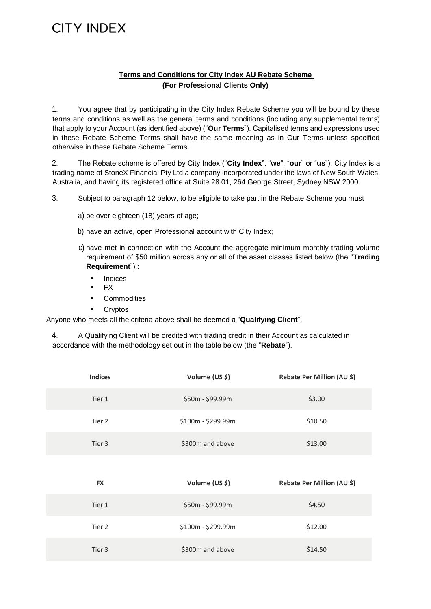## CITY INDEX

### **Terms and Conditions for City Index AU Rebate Scheme (For Professional Clients Only)**

1. You agree that by participating in the City Index Rebate Scheme you will be bound by these terms and conditions as well as the general terms and conditions (including any supplemental terms) that apply to your Account (as identified above) ("**Our Terms**"). Capitalised terms and expressions used in these Rebate Scheme Terms shall have the same meaning as in Our Terms unless specified otherwise in these Rebate Scheme Terms.

2. The Rebate scheme is offered by City Index ("**City Index**", "**we**", "**our**" or "**us**"). City Index is a trading name of StoneX Financial Pty Ltd a company incorporated under the laws of New South Wales, Australia, and having its registered office at Suite 28.01, 264 George Street, Sydney NSW 2000.

3. Subject to paragraph 12 below, to be eligible to take part in the Rebate Scheme you must

- a) be over eighteen (18) years of age;
- b) have an active, open Professional account with City Index;
- c) have met in connection with the Account the aggregate minimum monthly trading volume requirement of \$50 million across any or all of the asset classes listed below (the "**Trading Requirement**").:
	- **Indices**
	- FX
	- **Commodities**
	- **Cryptos**

Anyone who meets all the criteria above shall be deemed a "**Qualifying Client**".

4. A Qualifying Client will be credited with trading credit in their Account as calculated in accordance with the methodology set out in the table below (the "**Rebate**").

| <b>Indices</b> | Volume (US \$)     | Rebate Per Million (AU \$) |
|----------------|--------------------|----------------------------|
| Tier 1         | \$50m - \$99.99m   | \$3.00                     |
| Tier 2         | \$100m - \$299.99m | \$10.50                    |
| Tier 3         | \$300m and above   | \$13.00                    |
|                |                    |                            |
| <b>FX</b>      | Volume (US \$)     | Rebate Per Million (AU \$) |
| Tier 1         | \$50m - \$99.99m   | \$4.50                     |
| Tier 2         | \$100m - \$299.99m | \$12.00                    |
|                |                    |                            |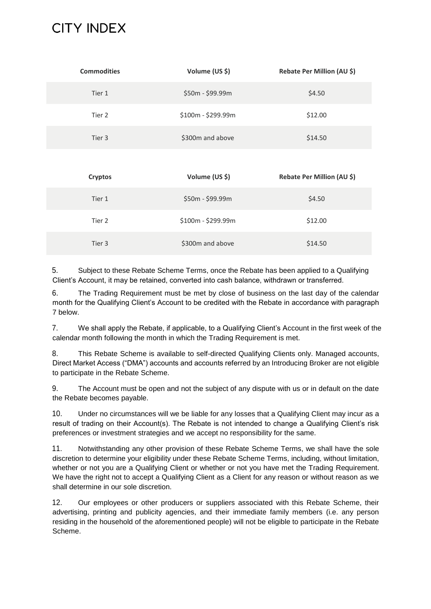# CITY INDEX

| <b>Commodities</b> | Volume (US \$)     | Rebate Per Million (AU \$) |
|--------------------|--------------------|----------------------------|
| Tier 1             | $$50m - $99.99m$   | \$4.50                     |
| Tier 2             | \$100m - \$299.99m | \$12.00                    |
| Tier 3             | \$300m and above   | \$14.50                    |

| <b>Cryptos</b> | Volume (US \$)     | Rebate Per Million (AU \$) |
|----------------|--------------------|----------------------------|
| Tier 1         | $$50m - $99.99m$   | \$4.50                     |
| Tier 2         | $$100m - $299.99m$ | \$12.00                    |
| Tier 3         | \$300m and above   | \$14.50                    |

5. Subject to these Rebate Scheme Terms, once the Rebate has been applied to a Qualifying Client's Account, it may be retained, converted into cash balance, withdrawn or transferred.

6. The Trading Requirement must be met by close of business on the last day of the calendar month for the Qualifying Client's Account to be credited with the Rebate in accordance with paragraph 7 below.

7. We shall apply the Rebate, if applicable, to a Qualifying Client's Account in the first week of the calendar month following the month in which the Trading Requirement is met.

8. This Rebate Scheme is available to self-directed Qualifying Clients only. Managed accounts, Direct Market Access ("DMA") accounts and accounts referred by an Introducing Broker are not eligible to participate in the Rebate Scheme.

9. The Account must be open and not the subject of any dispute with us or in default on the date the Rebate becomes payable.

10. Under no circumstances will we be liable for any losses that a Qualifying Client may incur as a result of trading on their Account(s). The Rebate is not intended to change a Qualifying Client's risk preferences or investment strategies and we accept no responsibility for the same.

11. Notwithstanding any other provision of these Rebate Scheme Terms, we shall have the sole discretion to determine your eligibility under these Rebate Scheme Terms, including, without limitation, whether or not you are a Qualifying Client or whether or not you have met the Trading Requirement. We have the right not to accept a Qualifying Client as a Client for any reason or without reason as we shall determine in our sole discretion.

12. Our employees or other producers or suppliers associated with this Rebate Scheme, their advertising, printing and publicity agencies, and their immediate family members (i.e. any person residing in the household of the aforementioned people) will not be eligible to participate in the Rebate Scheme.